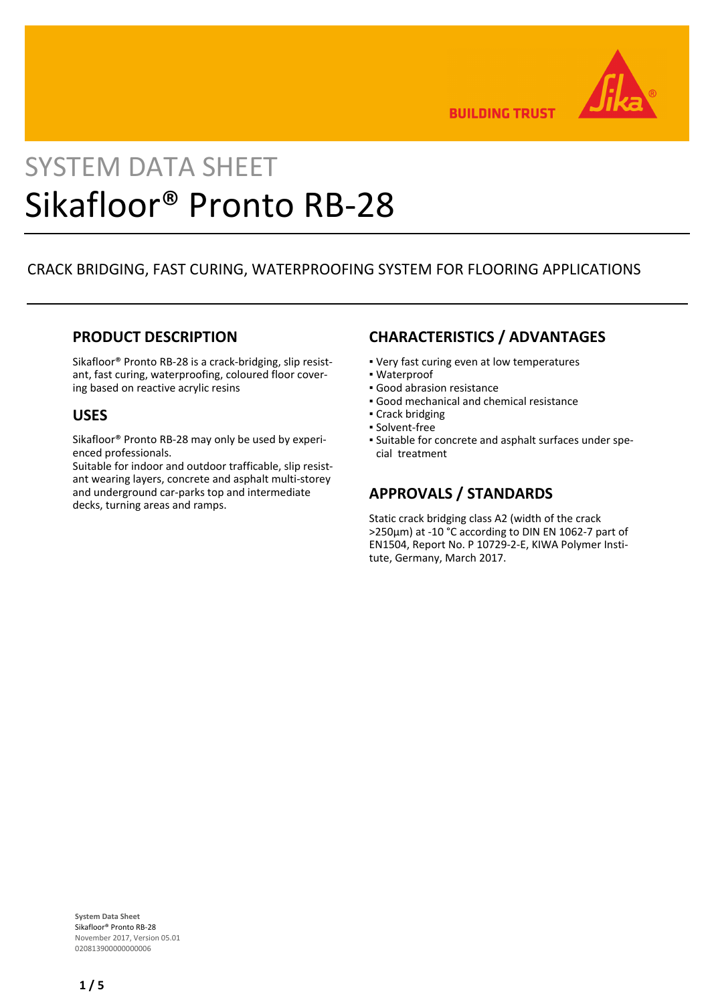

**BUILDING TRUST** 

# SYSTEM DATA SHEET Sikafloor® Pronto RB-28

## CRACK BRIDGING, FAST CURING, WATERPROOFING SYSTEM FOR FLOORING APPLICATIONS

### **PRODUCT DESCRIPTION**

Sikafloor® Pronto RB-28 is a crack-bridging, slip resistant, fast curing, waterproofing, coloured floor covering based on reactive acrylic resins

#### **USES**

Sikafloor® Pronto RB-28 may only be used by experienced professionals.

Suitable for indoor and outdoor trafficable, slip resistant wearing layers, concrete and asphalt multi-storey and underground car-parks top and intermediate decks, turning areas and ramps.

## **CHARACTERISTICS / ADVANTAGES**

- Very fast curing even at low temperatures
- Waterproof
- Good abrasion resistance
- Good mechanical and chemical resistance
- Crack bridging
- Solvent-free
- Suitable for concrete and asphalt surfaces under spe-▪ cial treatment

## **APPROVALS / STANDARDS**

Static crack bridging class A2 (width of the crack >250μm) at -10 °C according to DIN EN 1062-7 part of EN1504, Report No. P 10729-2-E, KIWA Polymer Institute, Germany, March 2017.

**System Data Sheet** Sikafloor® Pronto RB-28 November 2017, Version 05.01 020813900000000006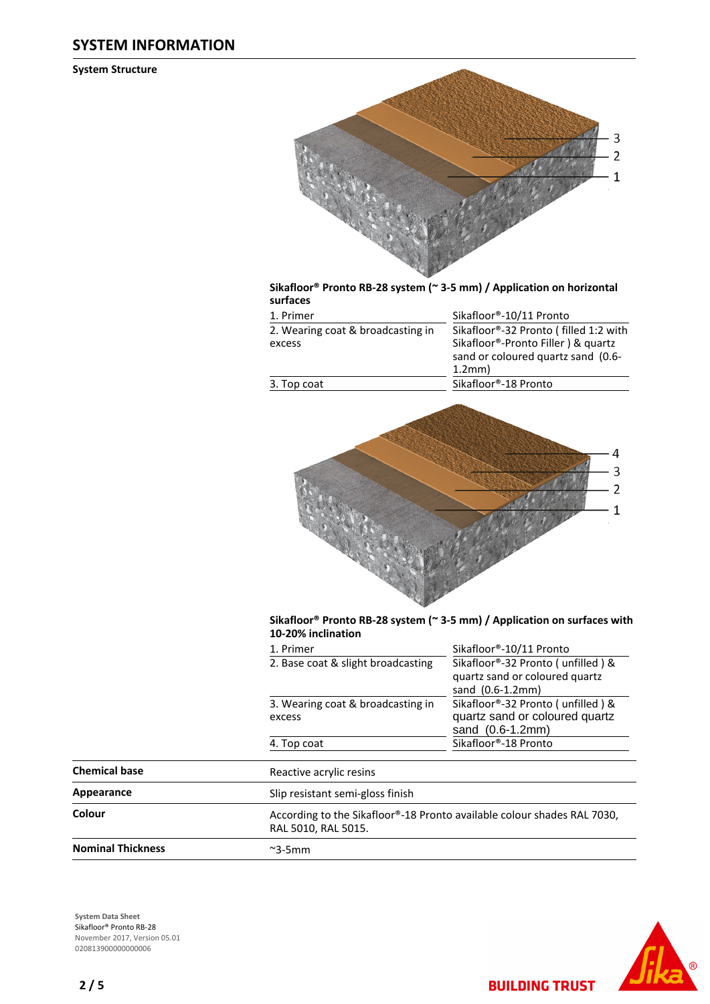#### **SYSTEM INFORMATION**

**System Structure**



#### **Sikafloor® Pronto RB-28 system (~ 3-5 mm) / Application on horizontal surfaces**

| 1. Primer                                   | Sikafloor®-10/11 Pronto                                                                  |  |  |
|---------------------------------------------|------------------------------------------------------------------------------------------|--|--|
| 2. Wearing coat & broadcasting in<br>excess | Sikafloor®-32 Pronto (filled 1:2 with<br>Sikafloor <sup>®</sup> -Pronto Filler) & quartz |  |  |
|                                             | sand or coloured quartz sand (0.6-<br>1.2mm)                                             |  |  |
| 3. Top coat                                 | Sikafloor®-18 Pronto                                                                     |  |  |



#### **Sikafloor® Pronto RB-28 system (~ 3-5 mm) / Application on surfaces with 10-20% inclination**

|                          | 1. Primer                                   | Sikafloor®-10/11 Pronto                                                                   |
|--------------------------|---------------------------------------------|-------------------------------------------------------------------------------------------|
|                          | 2. Base coat & slight broadcasting          | Sikafloor®-32 Pronto (unfilled) &<br>quartz sand or coloured quartz<br>sand $(0.6-1.2mm)$ |
|                          | 3. Wearing coat & broadcasting in<br>excess | Sikafloor®-32 Pronto (unfilled) &<br>quartz sand or coloured quartz<br>sand $(0.6-1.2mm)$ |
|                          | 4. Top coat                                 | Sikafloor®-18 Pronto                                                                      |
| <b>Chemical base</b>     | Reactive acrylic resins                     |                                                                                           |
| Appearance               | Slip resistant semi-gloss finish            |                                                                                           |
| Colour                   | RAL 5010, RAL 5015.                         | According to the Sikafloor®-18 Pronto available colour shades RAL 7030,                   |
| <b>Nominal Thickness</b> | $\sim$ 3-5mm                                |                                                                                           |

**System Data Sheet** Sikafloor® Pronto RB-28 November 2017, Version 05.01 020813900000000006



**BUILDING TRUST**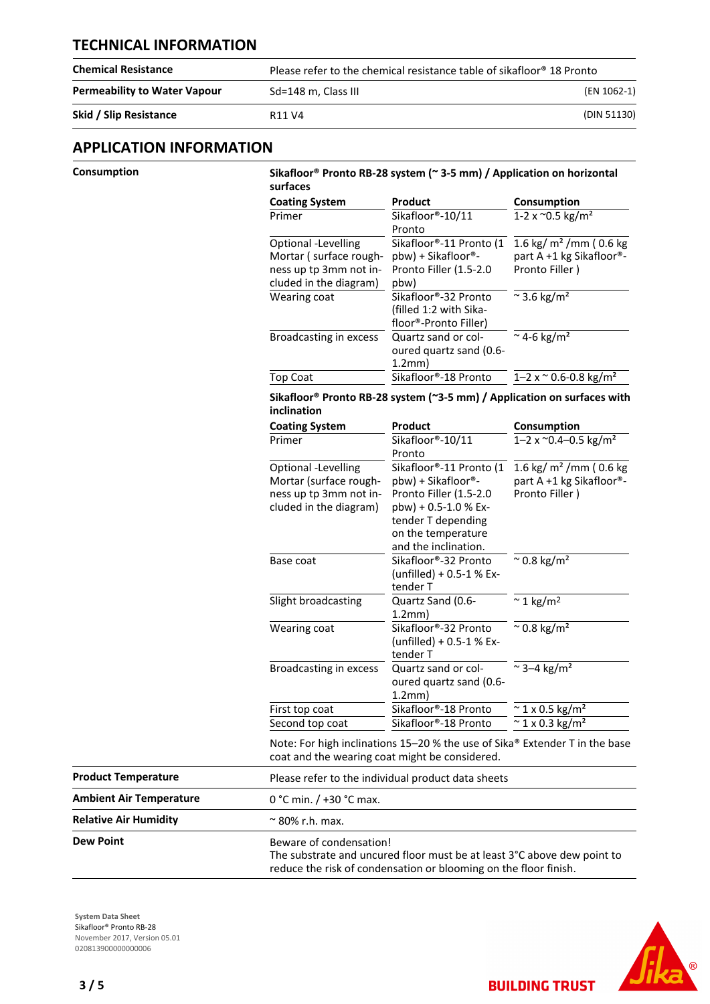#### **TECHNICAL INFORMATION**

| <b>Chemical Resistance</b>          | Please refer to the chemical resistance table of sikafloor® 18 Pronto |             |
|-------------------------------------|-----------------------------------------------------------------------|-------------|
| <b>Permeability to Water Vapour</b> | Sd=148 m. Class III                                                   | (EN 1062-1) |
| Skid / Slip Resistance              | R <sub>11</sub> V <sub>4</sub>                                        | (DIN 51130) |

#### **APPLICATION INFORMATION**

| Consumption |  |
|-------------|--|
|             |  |

#### **Consumption Sikafloor® Pronto RB-28 system (~ 3-5 mm) / Application on horizontal surfaces**

| <b>Coating System</b>  | Product                 | Consumption                             |
|------------------------|-------------------------|-----------------------------------------|
| Primer                 | Sikafloor®-10/11        | 1-2 x $^{\sim}$ 0.5 kg/m <sup>2</sup>   |
|                        | Pronto                  |                                         |
| Optional -Levelling    | Sikafloor®-11 Pronto (1 | 1.6 kg/ $m2$ /mm (0.6 kg                |
| Mortar (surface rough- | pbw) + Sikafloor®-      | part A +1 kg Sikafloor®-                |
| ness up tp 3mm not in- | Pronto Filler (1.5-2.0  | Pronto Filler)                          |
| cluded in the diagram) | pbw)                    |                                         |
| Wearing coat           | Sikafloor®-32 Pronto    | $\approx$ 3.6 kg/m <sup>2</sup>         |
|                        | (filled 1:2 with Sika-  |                                         |
|                        | floor®-Pronto Filler)   |                                         |
| Broadcasting in excess | Quartz sand or col-     | $~^{\circ}$ 4-6 kg/m <sup>2</sup>       |
|                        | oured quartz sand (0.6- |                                         |
|                        | 1.2mm)                  |                                         |
| Top Coat               | Sikafloor®-18 Pronto    | $1 - 2 \times 0.6 - 0.8 \text{ kg/m}^2$ |
|                        |                         |                                         |

#### **Sikafloor® Pronto RB-28 system (~3-5 mm) / Application on surfaces with inclination**

| <b>Coating System</b>                                                                             | Product                                                                                                                                                                | Consumption                                                            |  |  |
|---------------------------------------------------------------------------------------------------|------------------------------------------------------------------------------------------------------------------------------------------------------------------------|------------------------------------------------------------------------|--|--|
| Primer                                                                                            | Sikafloor®-10/11<br>Pronto                                                                                                                                             | 1–2 x $^{\circ}$ 0.4–0.5 kg/m <sup>2</sup>                             |  |  |
| Optional -Levelling<br>Mortar (surface rough-<br>ness up tp 3mm not in-<br>cluded in the diagram) | Sikafloor®-11 Pronto (1<br>pbw) + Sikafloor®-<br>Pronto Filler (1.5-2.0<br>$pbw$ ) + 0.5-1.0 % Ex-<br>tender T depending<br>on the temperature<br>and the inclination. | 1.6 kg/ $m2$ /mm (0.6 kg<br>part A +1 kg Sikafloor®-<br>Pronto Filler) |  |  |
| Base coat                                                                                         | Sikafloor®-32 Pronto<br>(unfilled) + 0.5-1 % Ex-<br>tender T                                                                                                           | $^{\sim}$ 0.8 kg/m <sup>2</sup>                                        |  |  |
| Slight broadcasting                                                                               | Quartz Sand (0.6-<br>1.2mm)                                                                                                                                            | $\approx$ 1 kg/m <sup>2</sup>                                          |  |  |
| Wearing coat                                                                                      | Sikafloor®-32 Pronto<br>(unfilled) + 0.5-1 % Ex-<br>tender T                                                                                                           | $\approx$ 0.8 kg/m <sup>2</sup>                                        |  |  |
| Broadcasting in excess                                                                            | Quartz sand or col-<br>oured quartz sand (0.6-<br>1.2mm)                                                                                                               | $\approx$ 3–4 kg/m <sup>2</sup>                                        |  |  |
| First top coat                                                                                    | Sikafloor®-18 Pronto                                                                                                                                                   | $\approx$ 1 x 0.5 kg/m <sup>2</sup>                                    |  |  |
| Second top coat                                                                                   | Sikafloor®-18 Pronto                                                                                                                                                   | $\approx$ 1 x 0.3 kg/m <sup>2</sup>                                    |  |  |

| <b>Product Temperature</b>     | Please refer to the individual product data sheets                                                                                                                     |
|--------------------------------|------------------------------------------------------------------------------------------------------------------------------------------------------------------------|
| <b>Ambient Air Temperature</b> | 0 °C min. $/$ +30 °C max.                                                                                                                                              |
| <b>Relative Air Humidity</b>   | $\approx$ 80% r.h. max.                                                                                                                                                |
| <b>Dew Point</b>               | Beware of condensation!<br>The substrate and uncured floor must be at least 3°C above dew point to<br>reduce the risk of condensation or blooming on the floor finish. |

**System Data Sheet** Sikafloor® Pronto RB-28 November 2017, Version 05.01 020813900000000006



**BUILDING TRUST**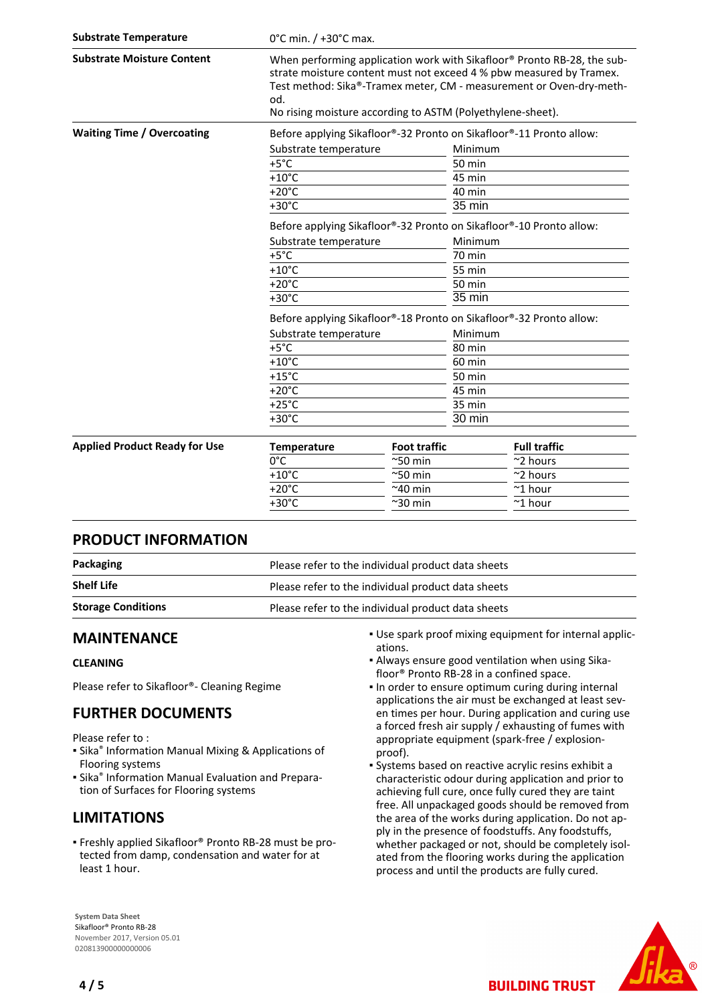| <b>Substrate Temperature</b>         |                                                                     | 0°C min. / +30°C max.                                                                                                                                                                                                                                                               |               |                                                                     |  |
|--------------------------------------|---------------------------------------------------------------------|-------------------------------------------------------------------------------------------------------------------------------------------------------------------------------------------------------------------------------------------------------------------------------------|---------------|---------------------------------------------------------------------|--|
| <b>Substrate Moisture Content</b>    | od.                                                                 | When performing application work with Sikafloor® Pronto RB-28, the sub-<br>strate moisture content must not exceed 4 % pbw measured by Tramex.<br>Test method: Sika®-Tramex meter, CM - measurement or Oven-dry-meth-<br>No rising moisture according to ASTM (Polyethylene-sheet). |               |                                                                     |  |
| <b>Waiting Time / Overcoating</b>    |                                                                     |                                                                                                                                                                                                                                                                                     |               | Before applying Sikafloor®-32 Pronto on Sikafloor®-11 Pronto allow: |  |
|                                      |                                                                     | Substrate temperature                                                                                                                                                                                                                                                               |               | Minimum                                                             |  |
|                                      | $+5^{\circ}$ C                                                      |                                                                                                                                                                                                                                                                                     |               |                                                                     |  |
|                                      | $+10^{\circ}$ C                                                     |                                                                                                                                                                                                                                                                                     | 45 min        |                                                                     |  |
|                                      | $+20^{\circ}$ C                                                     |                                                                                                                                                                                                                                                                                     | 40 min        |                                                                     |  |
|                                      | $+30^{\circ}$ C                                                     |                                                                                                                                                                                                                                                                                     | 35 min        |                                                                     |  |
|                                      | Before applying Sikafloor®-32 Pronto on Sikafloor®-10 Pronto allow: |                                                                                                                                                                                                                                                                                     |               |                                                                     |  |
|                                      | Substrate temperature                                               |                                                                                                                                                                                                                                                                                     | Minimum       |                                                                     |  |
|                                      | $+5^{\circ}$ C                                                      |                                                                                                                                                                                                                                                                                     | 70 min        |                                                                     |  |
|                                      | $+10^{\circ}$ C                                                     |                                                                                                                                                                                                                                                                                     | 55 min        |                                                                     |  |
|                                      | $+20^{\circ}$ C                                                     |                                                                                                                                                                                                                                                                                     | <b>50 min</b> |                                                                     |  |
|                                      | $+30^{\circ}$ C                                                     |                                                                                                                                                                                                                                                                                     |               | 35 min                                                              |  |
|                                      | Before applying Sikafloor®-18 Pronto on Sikafloor®-32 Pronto allow: |                                                                                                                                                                                                                                                                                     |               |                                                                     |  |
|                                      | Substrate temperature                                               |                                                                                                                                                                                                                                                                                     | Minimum       |                                                                     |  |
|                                      | $+5^{\circ}$ C                                                      |                                                                                                                                                                                                                                                                                     |               | 80 min                                                              |  |
|                                      | $+10^{\circ}$ C                                                     |                                                                                                                                                                                                                                                                                     |               | 60 min                                                              |  |
|                                      | $+15^{\circ}$ C                                                     |                                                                                                                                                                                                                                                                                     | 50 min        |                                                                     |  |
|                                      | $+20^{\circ}$ C                                                     |                                                                                                                                                                                                                                                                                     | 45 min        |                                                                     |  |
|                                      | $+25^{\circ}$ C                                                     |                                                                                                                                                                                                                                                                                     |               | 35 min                                                              |  |
|                                      | $+30^{\circ}$ C                                                     |                                                                                                                                                                                                                                                                                     | 30 min        |                                                                     |  |
| <b>Applied Product Ready for Use</b> | <b>Temperature</b>                                                  | <b>Foot traffic</b>                                                                                                                                                                                                                                                                 |               | <b>Full traffic</b>                                                 |  |
|                                      | $0^{\circ}$ C                                                       | $^{\sim}$ 50 min                                                                                                                                                                                                                                                                    |               | ~2 hours                                                            |  |
|                                      | $+10^{\circ}$ C                                                     | $^{\sim}$ 50 min                                                                                                                                                                                                                                                                    |               | $~\sim$ 2 hours                                                     |  |
|                                      | $+20^{\circ}$ C                                                     | $~240$ min                                                                                                                                                                                                                                                                          |               | $~^{\sim}$ 1 hour                                                   |  |
|                                      | $+30^{\circ}$ C                                                     | $^{\sim}$ 30 min                                                                                                                                                                                                                                                                    |               | $~^{\sim}$ 1 hour                                                   |  |

#### **PRODUCT INFORMATION**

| Packaging                 | Please refer to the individual product data sheets |
|---------------------------|----------------------------------------------------|
| <b>Shelf Life</b>         | Please refer to the individual product data sheets |
| <b>Storage Conditions</b> | Please refer to the individual product data sheets |

#### **MAINTENANCE**

#### **CLEANING**

Please refer to Sikafloor®- Cleaning Regime

### **FURTHER DOCUMENTS**

Please refer to :

- **E** Sika<sup>®</sup> Information Manual Mixing & Applications of Flooring systems
- **E** Sika<sup>®</sup> Information Manual Evaluation and Preparation of Surfaces for Flooring systems

### **LIMITATIONS**

Freshly applied Sikafloor® Pronto RB-28 must be pro-▪ tected from damp, condensation and water for at least 1 hour.

- Use spark proof mixing equipment for internal applic-▪ ations.
- Always ensure good ventilation when using Sika-▪ floor® Pronto RB-28 in a confined space.
- . In order to ensure optimum curing during internal applications the air must be exchanged at least seven times per hour. During application and curing use a forced fresh air supply / exhausting of fumes with appropriate equipment (spark-free / explosionproof).
- Systems based on reactive acrylic resins exhibit a characteristic odour during application and prior to achieving full cure, once fully cured they are taint free. All unpackaged goods should be removed from the area of the works during application. Do not apply in the presence of foodstuffs. Any foodstuffs, whether packaged or not, should be completely isolated from the flooring works during the application process and until the products are fully cured.

**BUILDING TRUST** 



**System Data Sheet** Sikafloor® Pronto RB-28 November 2017, Version 05.01 020813900000000006